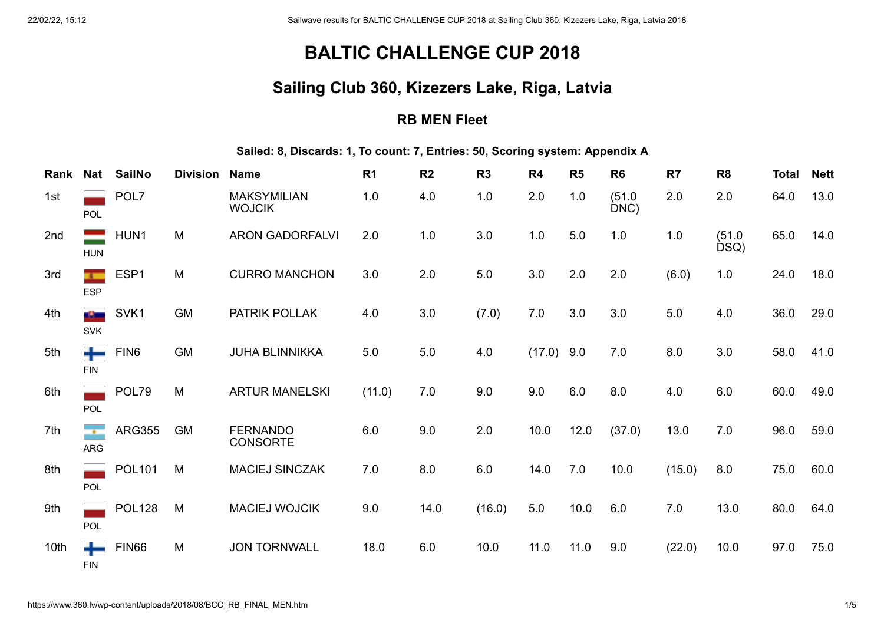# **BALTIC CHALLENGE CUP 2018**

### **Sailing Club 360, Kizezers Lake, Riga, Latvia**

#### **RB MEN Fleet**

**Sailed: 8, Discards: 1, To count: 7, Entries: 50, Scoring system: Appendix A**

| Rank | <b>Nat</b>                             | <b>SailNo</b>    | <b>Division</b> | <b>Name</b>                         | R <sub>1</sub> | R <sub>2</sub> | R <sub>3</sub> | R <sub>4</sub> | R <sub>5</sub> | R <sub>6</sub> | R <sub>7</sub> | R <sub>8</sub> | Total | <b>Nett</b> |
|------|----------------------------------------|------------------|-----------------|-------------------------------------|----------------|----------------|----------------|----------------|----------------|----------------|----------------|----------------|-------|-------------|
| 1st  | POL                                    | POL7             |                 | <b>MAKSYMILIAN</b><br><b>WOJCIK</b> | 1.0            | 4.0            | 1.0            | 2.0            | 1.0            | (51.0)<br>DNC  | 2.0            | 2.0            | 64.0  | 13.0        |
| 2nd  | <b>HUN</b>                             | HUN1             | M               | <b>ARON GADORFALVI</b>              | 2.0            | 1.0            | 3.0            | 1.0            | 5.0            | 1.0            | 1.0            | (51.0)<br>DSQ) | 65.0  | 14.0        |
| 3rd  | $\overline{\phantom{a}}$<br><b>ESP</b> | ESP1             | M               | <b>CURRO MANCHON</b>                | 3.0            | 2.0            | 5.0            | 3.0            | 2.0            | 2.0            | (6.0)          | 1.0            | 24.0  | 18.0        |
| 4th  | a Simo<br><b>SVK</b>                   | SVK1             | <b>GM</b>       | PATRIK POLLAK                       | 4.0            | 3.0            | (7.0)          | 7.0            | 3.0            | 3.0            | 5.0            | 4.0            | 36.0  | 29.0        |
| 5th  | <b>FIN</b>                             | FIN <sub>6</sub> | <b>GM</b>       | <b>JUHA BLINNIKKA</b>               | $5.0\,$        | 5.0            | 4.0            | (17.0)         | 9.0            | 7.0            | 8.0            | 3.0            | 58.0  | 41.0        |
| 6th  | POL                                    | POL79            | M               | <b>ARTUR MANELSKI</b>               | (11.0)         | $7.0$          | 9.0            | 9.0            | 6.0            | 8.0            | 4.0            | 6.0            | 60.0  | 49.0        |
| 7th  | <br><b>ARG</b>                         | <b>ARG355</b>    | <b>GM</b>       | <b>FERNANDO</b><br><b>CONSORTE</b>  | 6.0            | 9.0            | 2.0            | 10.0           | 12.0           | (37.0)         | 13.0           | 7.0            | 96.0  | 59.0        |
| 8th  | <b>POL</b>                             | <b>POL101</b>    | M               | <b>MACIEJ SINCZAK</b>               | 7.0            | $8.0\,$        | 6.0            | 14.0           | 7.0            | 10.0           | (15.0)         | 8.0            | 75.0  | 60.0        |
| 9th  | POL                                    | <b>POL128</b>    | M               | <b>MACIEJ WOJCIK</b>                | 9.0            | 14.0           | (16.0)         | 5.0            | 10.0           | 6.0            | 7.0            | 13.0           | 80.0  | 64.0        |
| 10th | <b>FIN</b>                             | <b>FIN66</b>     | M               | <b>JON TORNWALL</b>                 | 18.0           | 6.0            | 10.0           | 11.0           | 11.0           | 9.0            | (22.0)         | 10.0           | 97.0  | 75.0        |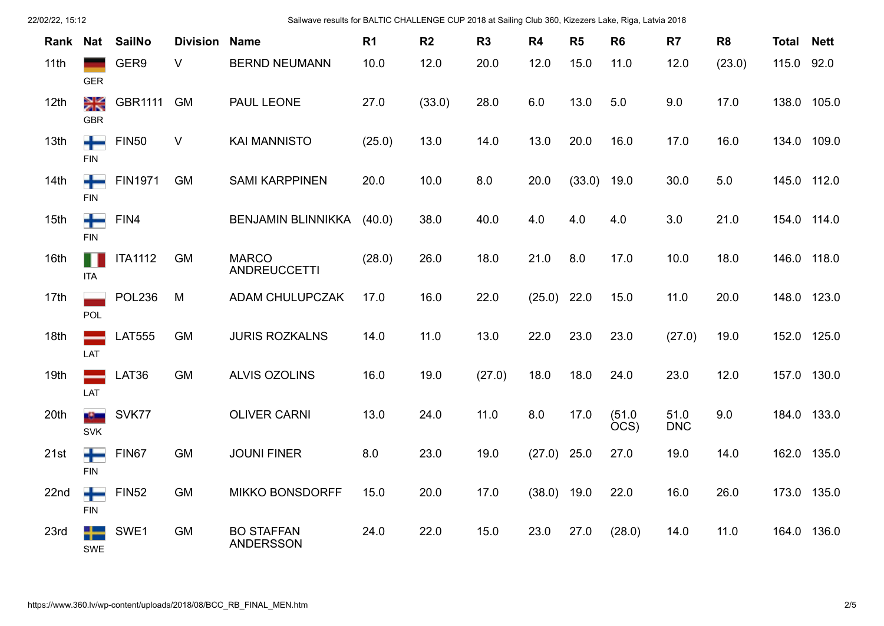| 22/02/22, 15:12 |                      |                |                 | Sailwave results for BALTIC CHALLENGE CUP 2018 at Sailing Club 360, Kizezers Lake, Riga, Latvia 2018 |                |                |                |                |        |                |                    |                |              |             |
|-----------------|----------------------|----------------|-----------------|------------------------------------------------------------------------------------------------------|----------------|----------------|----------------|----------------|--------|----------------|--------------------|----------------|--------------|-------------|
| Rank            | Nat                  | <b>SailNo</b>  | <b>Division</b> | <b>Name</b>                                                                                          | R <sub>1</sub> | R <sub>2</sub> | R <sub>3</sub> | R <sub>4</sub> | R5     | R <sub>6</sub> | R <sub>7</sub>     | R <sub>8</sub> | <b>Total</b> | <b>Nett</b> |
| 11th            | <b>GER</b>           | GER9           | V               | <b>BERND NEUMANN</b>                                                                                 | 10.0           | 12.0           | 20.0           | 12.0           | 15.0   | 11.0           | 12.0               | (23.0)         | 115.0 92.0   |             |
| 12th            | Ж<br><b>GBR</b>      | GBR1111        | <b>GM</b>       | PAUL LEONE                                                                                           | 27.0           | (33.0)         | 28.0           | 6.0            | 13.0   | 5.0            | 9.0                | 17.0           | 138.0 105.0  |             |
| 13th            | <b>FIN</b>           | <b>FIN50</b>   | V               | <b>KAI MANNISTO</b>                                                                                  | (25.0)         | 13.0           | 14.0           | 13.0           | 20.0   | 16.0           | 17.0               | 16.0           | 134.0 109.0  |             |
| 14th            | ┿<br><b>FIN</b>      | <b>FIN1971</b> | <b>GM</b>       | <b>SAMI KARPPINEN</b>                                                                                | 20.0           | 10.0           | 8.0            | 20.0           | (33.0) | 19.0           | 30.0               | $5.0\,$        | 145.0 112.0  |             |
| 15th            | <b>FIN</b>           | FIN4           |                 | <b>BENJAMIN BLINNIKKA</b>                                                                            | (40.0)         | 38.0           | 40.0           | 4.0            | 4.0    | 4.0            | 3.0                | 21.0           | 154.0 114.0  |             |
| 16th            | <b>ITA</b>           | <b>ITA1112</b> | <b>GM</b>       | <b>MARCO</b><br><b>ANDREUCCETTI</b>                                                                  | (28.0)         | 26.0           | 18.0           | 21.0           | 8.0    | 17.0           | 10.0               | 18.0           | 146.0 118.0  |             |
| 17th            | POL                  | <b>POL236</b>  | M               | ADAM CHULUPCZAK                                                                                      | 17.0           | 16.0           | 22.0           | $(25.0)$ 22.0  |        | 15.0           | 11.0               | 20.0           | 148.0 123.0  |             |
| 18th            | LAT                  | <b>LAT555</b>  | <b>GM</b>       | <b>JURIS ROZKALNS</b>                                                                                | 14.0           | 11.0           | 13.0           | 22.0           | 23.0   | 23.0           | (27.0)             | 19.0           | 152.0 125.0  |             |
| 19th            | LAT                  | LAT36          | <b>GM</b>       | <b>ALVIS OZOLINS</b>                                                                                 | 16.0           | 19.0           | (27.0)         | 18.0           | 18.0   | 24.0           | 23.0               | 12.0           | 157.0 130.0  |             |
| 20th            | a Chan<br><b>SVK</b> | SVK77          |                 | <b>OLIVER CARNI</b>                                                                                  | 13.0           | 24.0           | 11.0           | 8.0            | 17.0   | (51.0<br>ÒCS)  | 51.0<br><b>DNC</b> | 9.0            | 184.0 133.0  |             |
| 21st            | ┿<br><b>FIN</b>      | FIN67          | <b>GM</b>       | <b>JOUNI FINER</b>                                                                                   | 8.0            | 23.0           | 19.0           | (27.0)         | 25.0   | 27.0           | 19.0               | 14.0           | 162.0 135.0  |             |
| 22nd            | ┿<br><b>FIN</b>      | <b>FIN52</b>   | GM              | <b>MIKKO BONSDORFF</b>                                                                               | 15.0           | 20.0           | 17.0           | (38.0)         | 19.0   | 22.0           | 16.0               | 26.0           | 173.0 135.0  |             |
| 23rd            | <b>SWE</b>           | SWE1           | GM              | <b>BO STAFFAN</b><br><b>ANDERSSON</b>                                                                | 24.0           | 22.0           | 15.0           | 23.0           | 27.0   | (28.0)         | 14.0               | 11.0           | 164.0 136.0  |             |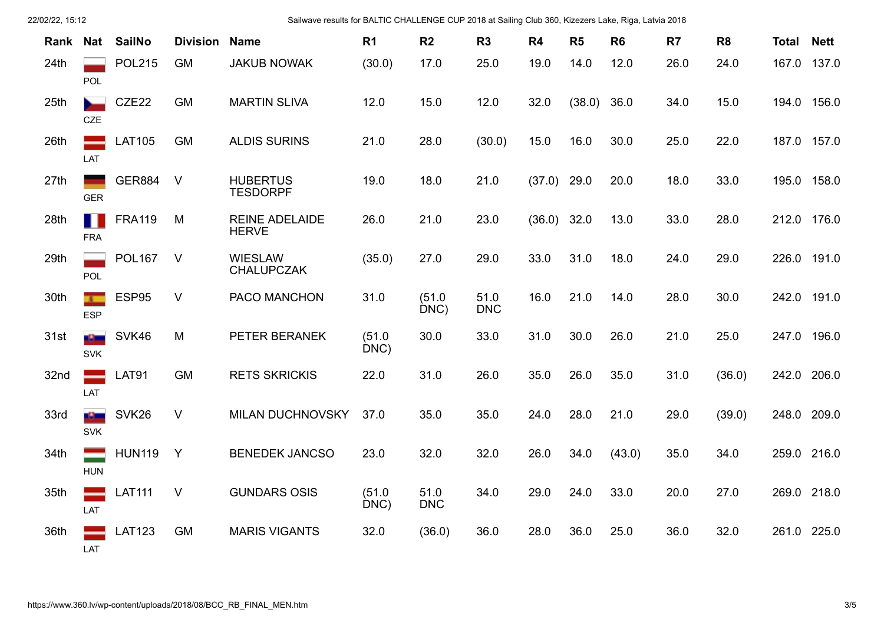| 22/02/22, 15:12 |                              |                   | Sailwave results for BALTIC CHALLENGE CUP 2018 at Sailing Club 360, Kizezers Lake, Riga, Latvia 2018 |                                       |                |                    |                    |        |                |                |      |                |              |             |
|-----------------|------------------------------|-------------------|------------------------------------------------------------------------------------------------------|---------------------------------------|----------------|--------------------|--------------------|--------|----------------|----------------|------|----------------|--------------|-------------|
| Rank            | Nat                          | <b>SailNo</b>     | <b>Division</b>                                                                                      | <b>Name</b>                           | R <sub>1</sub> | R <sub>2</sub>     | R3                 | R4     | R <sub>5</sub> | R <sub>6</sub> | R7   | R <sub>8</sub> | <b>Total</b> | <b>Nett</b> |
| 24th            | POL                          | <b>POL215</b>     | <b>GM</b>                                                                                            | <b>JAKUB NOWAK</b>                    | (30.0)         | 17.0               | 25.0               | 19.0   | 14.0           | 12.0           | 26.0 | 24.0           | 167.0        | 137.0       |
| 25th            | <b>CZE</b>                   | CZE22             | <b>GM</b>                                                                                            | <b>MARTIN SLIVA</b>                   | 12.0           | 15.0               | 12.0               | 32.0   | (38.0)         | 36.0           | 34.0 | 15.0           | 194.0 156.0  |             |
| 26th            | LAT                          | <b>LAT105</b>     | <b>GM</b>                                                                                            | <b>ALDIS SURINS</b>                   | 21.0           | 28.0               | (30.0)             | 15.0   | 16.0           | 30.0           | 25.0 | 22.0           | 187.0 157.0  |             |
| 27th            | <b>GER</b>                   | <b>GER884</b>     | $\vee$                                                                                               | <b>HUBERTUS</b><br><b>TESDORPF</b>    | 19.0           | 18.0               | 21.0               | (37.0) | 29.0           | 20.0           | 18.0 | 33.0           | 195.0 158.0  |             |
| 28th            | ш<br><b>FRA</b>              | <b>FRA119</b>     | M                                                                                                    | <b>REINE ADELAIDE</b><br><b>HERVE</b> | 26.0           | 21.0               | 23.0               | (36.0) | 32.0           | 13.0           | 33.0 | 28.0           | 212.0 176.0  |             |
| 29th            | POL                          | <b>POL167</b>     | $\vee$                                                                                               | <b>WIESLAW</b><br><b>CHALUPCZAK</b>   | (35.0)         | 27.0               | 29.0               | 33.0   | 31.0           | 18.0           | 24.0 | 29.0           | 226.0 191.0  |             |
| 30th            | $\mathbf{r}$<br><b>ESP</b>   | ESP95             | $\vee$                                                                                               | PACO MANCHON                          | 31.0           | (51.0)<br>DNC)     | 51.0<br><b>DNC</b> | 16.0   | 21.0           | 14.0           | 28.0 | 30.0           | 242.0 191.0  |             |
| 31st            | <b>AS MAIL</b><br><b>SVK</b> | SVK46             | M                                                                                                    | PETER BERANEK                         | (51.0)<br>DNC  | 30.0               | 33.0               | 31.0   | 30.0           | 26.0           | 21.0 | 25.0           | 247.0 196.0  |             |
| 32nd            | LAT                          | <b>LAT91</b>      | <b>GM</b>                                                                                            | <b>RETS SKRICKIS</b>                  | 22.0           | 31.0               | 26.0               | 35.0   | 26.0           | 35.0           | 31.0 | (36.0)         | 242.0 206.0  |             |
| 33rd            | $\mathbf{G}$<br><b>SVK</b>   | SVK <sub>26</sub> | V                                                                                                    | <b>MILAN DUCHNOVSKY</b>               | 37.0           | 35.0               | 35.0               | 24.0   | 28.0           | 21.0           | 29.0 | (39.0)         | 248.0 209.0  |             |
| 34th            | <b>HUN</b>                   | <b>HUN119</b>     | Y                                                                                                    | <b>BENEDEK JANCSO</b>                 | 23.0           | 32.0               | 32.0               | 26.0   | 34.0           | (43.0)         | 35.0 | 34.0           | 259.0 216.0  |             |
| 35th            | LAT                          | <b>LAT111</b>     | $\vee$                                                                                               | <b>GUNDARS OSIS</b>                   | (51.0)<br>DNC) | 51.0<br><b>DNC</b> | 34.0               | 29.0   | 24.0           | 33.0           | 20.0 | 27.0           | 269.0 218.0  |             |
| 36th            | LAT                          | <b>LAT123</b>     | <b>GM</b>                                                                                            | <b>MARIS VIGANTS</b>                  | 32.0           | (36.0)             | 36.0               | 28.0   | 36.0           | 25.0           | 36.0 | 32.0           | 261.0 225.0  |             |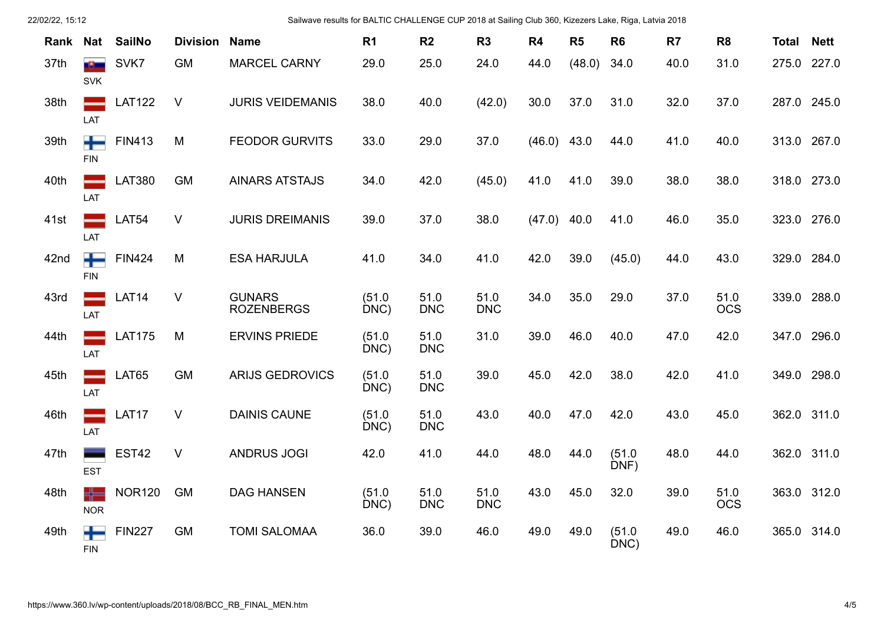| 22/02/22, 15:12 |                       |               | Sailwave results for BALTIC CHALLENGE CUP 2018 at Sailing Club 360, Kizezers Lake, Riga, Latvia 2018 |                                    |                |                    |                    |        |                |                |                |                    |              |             |
|-----------------|-----------------------|---------------|------------------------------------------------------------------------------------------------------|------------------------------------|----------------|--------------------|--------------------|--------|----------------|----------------|----------------|--------------------|--------------|-------------|
| Rank            | <b>Nat</b>            | <b>SailNo</b> | <b>Division</b>                                                                                      | <b>Name</b>                        | R <sub>1</sub> | R <sub>2</sub>     | R <sub>3</sub>     | R4     | R <sub>5</sub> | R <sub>6</sub> | R <sub>7</sub> | R <sub>8</sub>     | <b>Total</b> | <b>Nett</b> |
| 37th            | at) and<br><b>SVK</b> | SVK7          | <b>GM</b>                                                                                            | <b>MARCEL CARNY</b>                | 29.0           | 25.0               | 24.0               | 44.0   | (48.0)         | 34.0           | 40.0           | 31.0               | 275.0 227.0  |             |
| 38th            | LAT                   | <b>LAT122</b> | V                                                                                                    | <b>JURIS VEIDEMANIS</b>            | 38.0           | 40.0               | (42.0)             | 30.0   | 37.0           | 31.0           | 32.0           | 37.0               | 287.0 245.0  |             |
| 39th            | ┿<br><b>FIN</b>       | <b>FIN413</b> | M                                                                                                    | <b>FEODOR GURVITS</b>              | 33.0           | 29.0               | 37.0               | (46.0) | 43.0           | 44.0           | 41.0           | 40.0               | 313.0 267.0  |             |
| 40th            | LAT                   | <b>LAT380</b> | <b>GM</b>                                                                                            | <b>AINARS ATSTAJS</b>              | 34.0           | 42.0               | (45.0)             | 41.0   | 41.0           | 39.0           | 38.0           | 38.0               | 318.0 273.0  |             |
| 41st            | LAT                   | LAT54         | V                                                                                                    | <b>JURIS DREIMANIS</b>             | 39.0           | 37.0               | 38.0               | (47.0) | 40.0           | 41.0           | 46.0           | 35.0               | 323.0 276.0  |             |
| 42nd            | ┿<br><b>FIN</b>       | <b>FIN424</b> | M                                                                                                    | <b>ESA HARJULA</b>                 | 41.0           | 34.0               | 41.0               | 42.0   | 39.0           | (45.0)         | 44.0           | 43.0               | 329.0 284.0  |             |
| 43rd            | LAT                   | LAT14         | V                                                                                                    | <b>GUNARS</b><br><b>ROZENBERGS</b> | (51.0)<br>DNC  | 51.0<br><b>DNC</b> | 51.0<br><b>DNC</b> | 34.0   | 35.0           | 29.0           | 37.0           | 51.0<br><b>OCS</b> | 339.0 288.0  |             |
| 44th            | LAT                   | <b>LAT175</b> | M                                                                                                    | <b>ERVINS PRIEDE</b>               | (51.0)<br>DNC) | 51.0<br><b>DNC</b> | 31.0               | 39.0   | 46.0           | 40.0           | 47.0           | 42.0               | 347.0 296.0  |             |
| 45th            | LAT                   | LAT65         | <b>GM</b>                                                                                            | <b>ARIJS GEDROVICS</b>             | (51.0)<br>DNC) | 51.0<br><b>DNC</b> | 39.0               | 45.0   | 42.0           | 38.0           | 42.0           | 41.0               | 349.0 298.0  |             |
| 46th            | --<br>LAT             | LAT17         | V                                                                                                    | <b>DAINIS CAUNE</b>                | (51.0)<br>DNC) | 51.0<br><b>DNC</b> | 43.0               | 40.0   | 47.0           | 42.0           | 43.0           | 45.0               | 362.0 311.0  |             |
| 47th            | <b>EST</b>            | <b>EST42</b>  | V                                                                                                    | <b>ANDRUS JOGI</b>                 | 42.0           | 41.0               | 44.0               | 48.0   | 44.0           | (51.0)<br>DNF) | 48.0           | 44.0               | 362.0 311.0  |             |
| 48th            | ╬═<br><b>NOR</b>      | <b>NOR120</b> | <b>GM</b>                                                                                            | <b>DAG HANSEN</b>                  | (51.0)<br>DNC) | 51.0<br><b>DNC</b> | 51.0<br><b>DNC</b> | 43.0   | 45.0           | 32.0           | 39.0           | 51.0<br><b>OCS</b> | 363.0 312.0  |             |
| 49th            | <b>FIN</b>            | <b>FIN227</b> | <b>GM</b>                                                                                            | <b>TOMI SALOMAA</b>                | 36.0           | 39.0               | 46.0               | 49.0   | 49.0           | (51.0<br>DNC)  | 49.0           | 46.0               | 365.0 314.0  |             |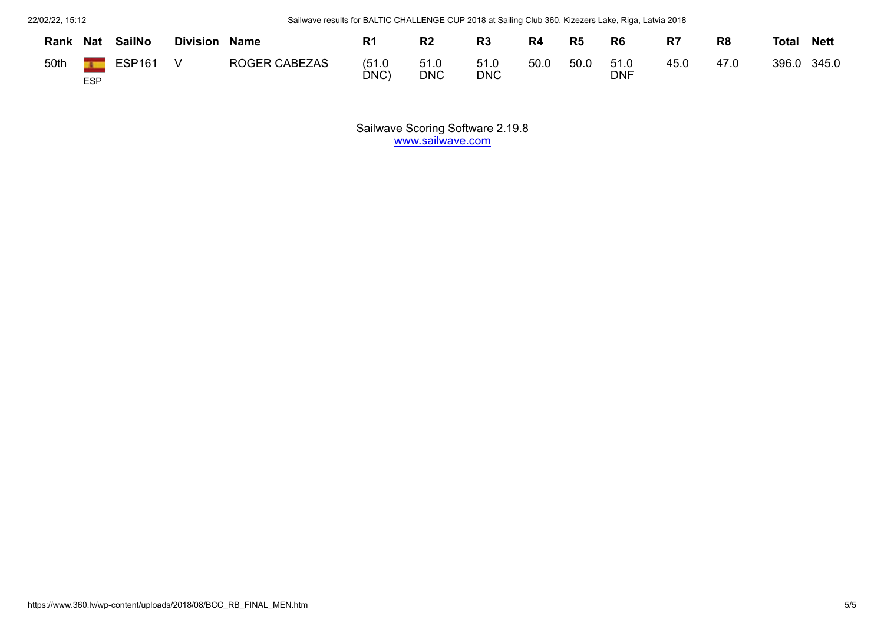22/02/22, 15:12 Sailwave results for BALTIC CHALLENGE CUP 2018 at Sailing Club 360, Kizezers Lake, Riga, Latvia 2018

| Rank | <b>Nat</b> | <b>SailNo</b> | <b>Division</b> | <b>Name</b>          | R <sub>1</sub> | R <sub>2</sub>     | R <sub>3</sub>     | R <sub>4</sub> | R <sub>5</sub> | R <sub>6</sub> | R <sub>7</sub> | R <sub>8</sub> | <b>Total</b> | <b>Nett</b> |
|------|------------|---------------|-----------------|----------------------|----------------|--------------------|--------------------|----------------|----------------|----------------|----------------|----------------|--------------|-------------|
| 50th |            | <b>ESP161</b> |                 | <b>ROGER CABEZAS</b> | (51.0)<br>DNC  | 51.0<br><b>DNC</b> | 51.0<br><b>DNC</b> | 50.0           | 50.0           | 51.0<br>DNF    | 45.0           | 47.0           | 396.0        | 345.0       |
|      | <b>ESP</b> |               |                 |                      |                |                    |                    |                |                |                |                |                |              |             |

Sailwave Scoring Software 2.19.8 www.sailwave.com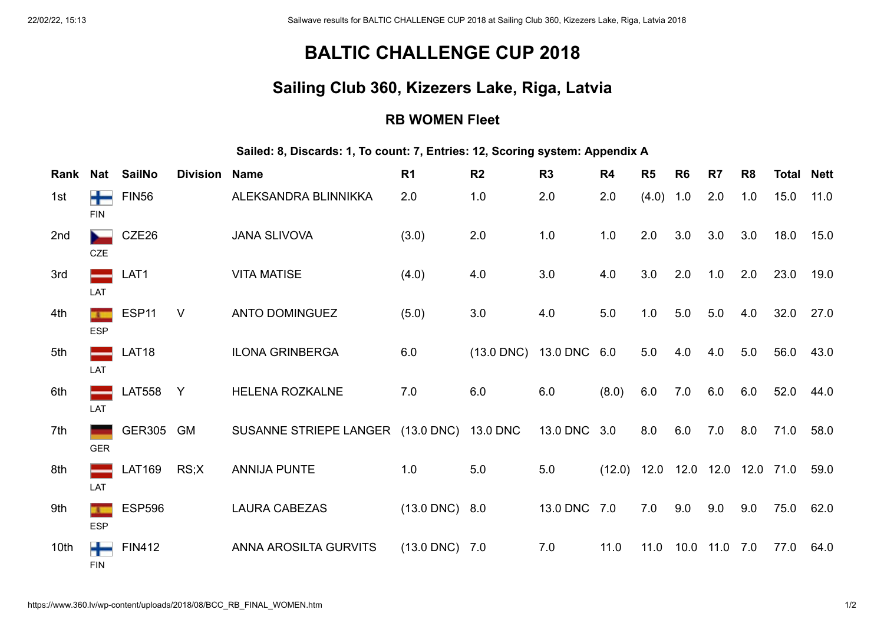# **BALTIC CHALLENGE CUP 2018**

### **Sailing Club 360, Kizezers Lake, Riga, Latvia**

#### **RB WOMEN Fleet**

**Sailed: 8, Discards: 1, To count: 7, Entries: 12, Scoring system: Appendix A**

| Rank | Nat        | <b>SailNo</b>     | <b>Division Name</b> |                                            | R <sub>1</sub>           | R <sub>2</sub>          | R3           | R4    | R <sub>5</sub> | R <sub>6</sub> | R7   | R <sub>8</sub> | Total                             | <b>Nett</b> |
|------|------------|-------------------|----------------------|--------------------------------------------|--------------------------|-------------------------|--------------|-------|----------------|----------------|------|----------------|-----------------------------------|-------------|
| 1st  | <b>FIN</b> | <b>FIN56</b>      |                      | ALEKSANDRA BLINNIKKA                       | 2.0                      | 1.0                     | 2.0          | 2.0   | $(4.0)$ 1.0    |                | 2.0  | 1.0            | 15.0                              | 11.0        |
| 2nd  | <b>CZE</b> | CZE26             |                      | <b>JANA SLIVOVA</b>                        | (3.0)                    | 2.0                     | 1.0          | 1.0   | 2.0            | 3.0            | 3.0  | 3.0            | 18.0                              | 15.0        |
| 3rd  | LAT        | LAT1              |                      | <b>VITA MATISE</b>                         | (4.0)                    | 4.0                     | 3.0          | 4.0   | 3.0            | 2.0            | 1.0  | 2.0            | 23.0                              | 19.0        |
| 4th  | <b>ESP</b> | ESP <sub>11</sub> | <sub>V</sub>         | <b>ANTO DOMINGUEZ</b>                      | (5.0)                    | 3.0                     | 4.0          | 5.0   | 1.0            | 5.0            | 5.0  | 4.0            | 32.0                              | 27.0        |
| 5th  | LAT        | <b>LAT18</b>      |                      | <b>ILONA GRINBERGA</b>                     | 6.0                      | (13.0 DNC) 13.0 DNC 6.0 |              |       | 5.0            | 4.0            | 4.0  | 5.0            | 56.0                              | 43.0        |
| 6th  | LAT        | <b>LAT558</b>     | Y                    | <b>HELENA ROZKALNE</b>                     | 7.0                      | 6.0                     | 6.0          | (8.0) | 6.0            | 7.0            | 6.0  | 6.0            | 52.0                              | 44.0        |
| 7th  | <b>GER</b> | GER305 GM         |                      | SUSANNE STRIEPE LANGER (13.0 DNC) 13.0 DNC |                          |                         | 13.0 DNC 3.0 |       | 8.0            | 6.0            | 7.0  | 8.0            | 71.0                              | 58.0        |
| 8th  | LAT        | <b>LAT169</b>     | RS;X                 | <b>ANNIJA PUNTE</b>                        | 1.0                      | 5.0                     | 5.0          |       |                |                |      |                | $(12.0)$ 12.0 12.0 12.0 12.0 71.0 | 59.0        |
| 9th  | <b>ESP</b> | <b>ESP596</b>     |                      | <b>LAURA CABEZAS</b>                       | $(13.0 \text{ DNC})$ 8.0 |                         | 13.0 DNC 7.0 |       | 7.0            | 9.0            | 9.0  | 9.0            | 75.0                              | 62.0        |
| 10th | <b>FIN</b> | <b>FIN412</b>     |                      | ANNA AROSILTA GURVITS                      | $(13.0 \text{ DNC})$ 7.0 |                         | 7.0          | 11.0  | 11.0           | 10.0           | 11.0 | 7.0            | 77.0                              | 64.0        |